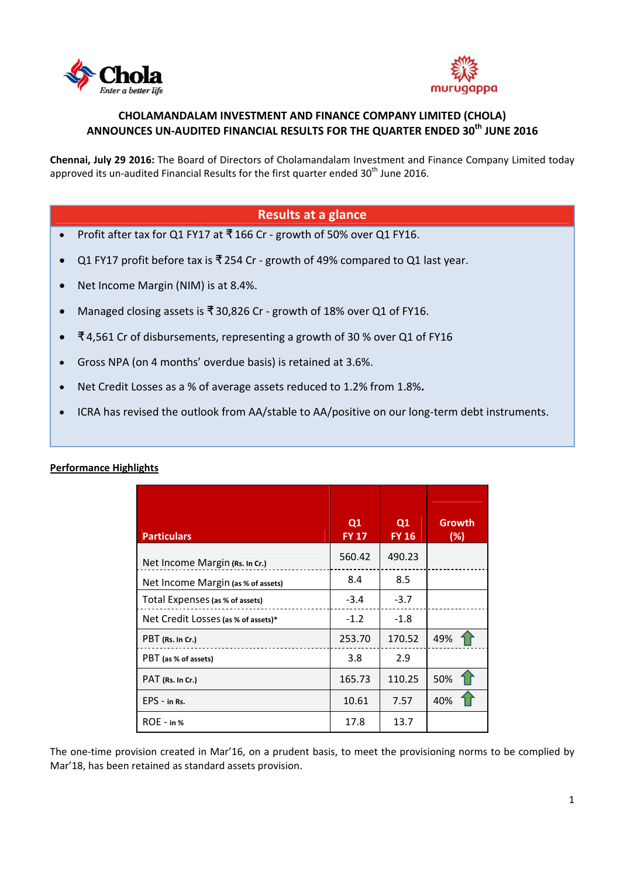



# **CHOLAMANDALAM INVESTMENT AND FINANCE COMPANY LIMITED (CHOLA) ANNOUNCES UN‐AUDITED FINANCIAL RESULTS FOR THE QUARTER ENDED 30th JUNE 2016**

**Chennai, July 29 2016:** The Board of Directors of Cholamandalam Investment and Finance Company Limited today approved its un-audited Financial Results for the first quarter ended  $30<sup>th</sup>$  June 2016.

## **Results at a glance**

- Profit after tax for Q1 FY17 at  $\overline{5}$  166 Cr growth of 50% over Q1 FY16.
- Q1 FY17 profit before tax is ₹ 254 Cr ‐ growth of 49% compared to Q1 last year.
- Net Income Margin (NIM) is at 8.4%.
- Managed closing assets is ₹ 30,826 Cr ‐ growth of 18% over Q1 of FY16.
- ₹ 4,561 Cr of disbursements, representing a growth of 30 % over Q1 of FY16
- Gross NPA (on 4 months' overdue basis) is retained at 3.6%.
- Net Credit Losses as a % of average assets reduced to 1.2% from 1.8%**.**
- ICRA has revised the outlook from AA/stable to AA/positive on our long‐term debt instruments.

| <b>Particulars</b>                  | Q <sub>1</sub><br><b>FY 17</b> | Q1<br><b>FY 16</b> | Growth<br>(%) |
|-------------------------------------|--------------------------------|--------------------|---------------|
| Net Income Margin (Rs. In Cr.)      | 560.42                         | 490.23             |               |
| Net Income Margin (as % of assets)  | 8.4                            | 8.5                |               |
| Total Expenses (as % of assets)     | $-3.4$                         | $-3.7$             |               |
| Net Credit Losses (as % of assets)* | $-1.2$                         | $-1.8$             |               |
| PBT (Rs. In Cr.)                    | 253.70                         | 170.52             | 49%           |
| PBT (as % of assets)                | 3.8                            | 2.9                |               |
| PAT (Rs. In Cr.)                    | 165.73                         | 110.25             | 50%           |
| $EPS - in Rs.$                      | 10.61                          | 7.57               | 40%           |
| $ROE - in %$                        | 17.8                           | 13.7               |               |

#### **Performance Highlights**

The one-time provision created in Mar'16, on a prudent basis, to meet the provisioning norms to be complied by Mar'18, has been retained as standard assets provision.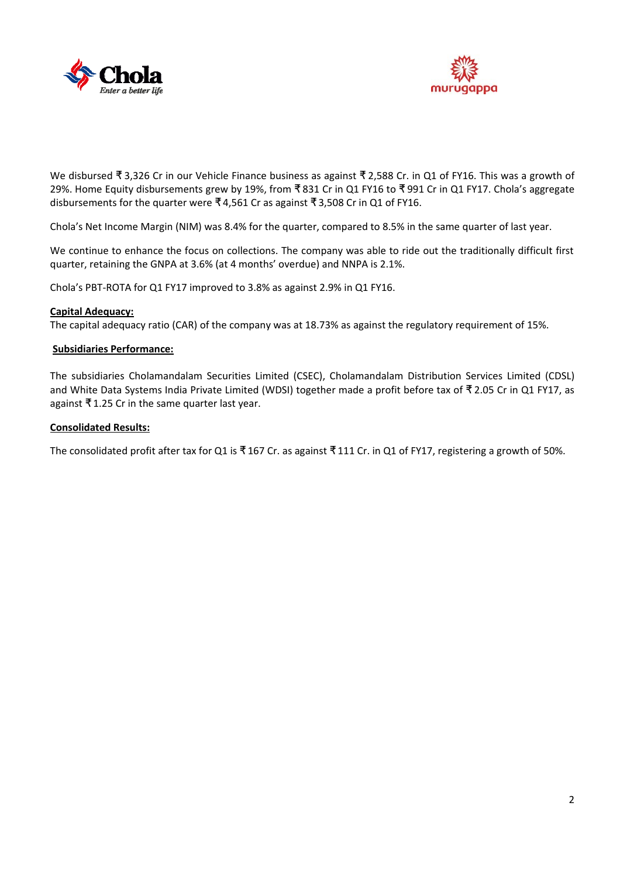



We disbursed ₹ 3,326 Cr in our Vehicle Finance business as against ₹ 2,588 Cr. in Q1 of FY16. This was a growth of 29%. Home Equity disbursements grew by 19%, from ₹ 831 Cr in Q1 FY16 to ₹ 991 Cr in Q1 FY17. Chola's aggregate disbursements for the quarter were ₹ 4,561 Cr as against ₹ 3,508 Cr in Q1 of FY16.

Chola's Net Income Margin (NIM) was 8.4% for the quarter, compared to 8.5% in the same quarter of last year.

We continue to enhance the focus on collections. The company was able to ride out the traditionally difficult first quarter, retaining the GNPA at 3.6% (at 4 months' overdue) and NNPA is 2.1%.

Chola's PBT‐ROTA for Q1 FY17 improved to 3.8% as against 2.9% in Q1 FY16.

#### **Capital Adequacy:**

The capital adequacy ratio (CAR) of the company was at 18.73% as against the regulatory requirement of 15%.

#### **Subsidiaries Performance:**

The subsidiaries Cholamandalam Securities Limited (CSEC), Cholamandalam Distribution Services Limited (CDSL) and White Data Systems India Private Limited (WDSI) together made a profit before tax of ₹ 2.05 Cr in Q1 FY17, as against ₹ 1.25 Cr in the same quarter last year.

#### **Consolidated Results:**

The consolidated profit after tax for Q1 is ₹167 Cr. as against ₹111 Cr. in Q1 of FY17, registering a growth of 50%.